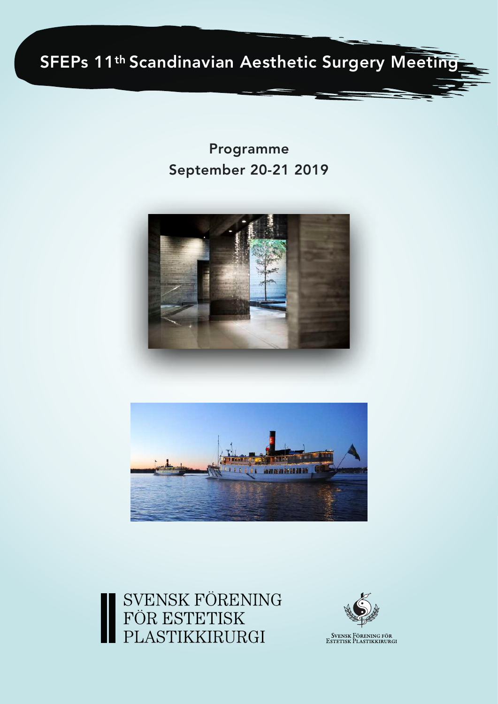

Programme September 20-21 2019







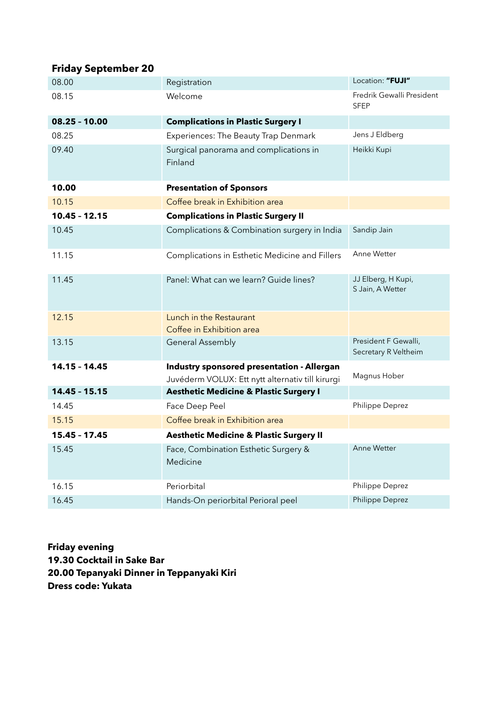## **Friday September 20**

| 08.00           | Registration                                                                                   | Location: "FUJI"                             |
|-----------------|------------------------------------------------------------------------------------------------|----------------------------------------------|
| 08.15           | Welcome                                                                                        | Fredrik Gewalli President<br><b>SFEP</b>     |
| $08.25 - 10.00$ | <b>Complications in Plastic Surgery I</b>                                                      |                                              |
| 08.25           | Experiences: The Beauty Trap Denmark                                                           | Jens J Eldberg                               |
| 09.40           | Surgical panorama and complications in<br>Finland                                              | Heikki Kupi                                  |
| 10.00           | <b>Presentation of Sponsors</b>                                                                |                                              |
| 10.15           | Coffee break in Exhibition area                                                                |                                              |
| $10.45 - 12.15$ | <b>Complications in Plastic Surgery II</b>                                                     |                                              |
| 10.45           | Complications & Combination surgery in India                                                   | Sandip Jain                                  |
| 11.15           | Complications in Esthetic Medicine and Fillers                                                 | Anne Wetter                                  |
| 11.45           | Panel: What can we learn? Guide lines?                                                         | JJ Elberg, H Kupi,<br>S Jain, A Wetter       |
| 12.15           | Lunch in the Restaurant<br>Coffee in Exhibition area                                           |                                              |
| 13.15           | <b>General Assembly</b>                                                                        | President F Gewalli,<br>Secretary R Veltheim |
| 14.15 - 14.45   | Industry sponsored presentation - Allergan<br>Juvéderm VOLUX: Ett nytt alternativ till kirurgi | Magnus Hober                                 |
| $14.45 - 15.15$ | <b>Aesthetic Medicine &amp; Plastic Surgery I</b>                                              |                                              |
| 14.45           | Face Deep Peel                                                                                 | Philippe Deprez                              |
| 15.15           | Coffee break in Exhibition area                                                                |                                              |
| 15.45 - 17.45   | <b>Aesthetic Medicine &amp; Plastic Surgery II</b>                                             |                                              |
| 15.45           | Face, Combination Esthetic Surgery &<br>Medicine                                               | <b>Anne Wetter</b>                           |
| 16.15           | Periorbital                                                                                    | Philippe Deprez                              |
| 16.45           | Hands-On periorbital Perioral peel                                                             | Philippe Deprez                              |

**Friday evening 19.30 Cocktail in Sake Bar 20.00 Tepanyaki Dinner in Teppanyaki Kiri Dress code: Yukata**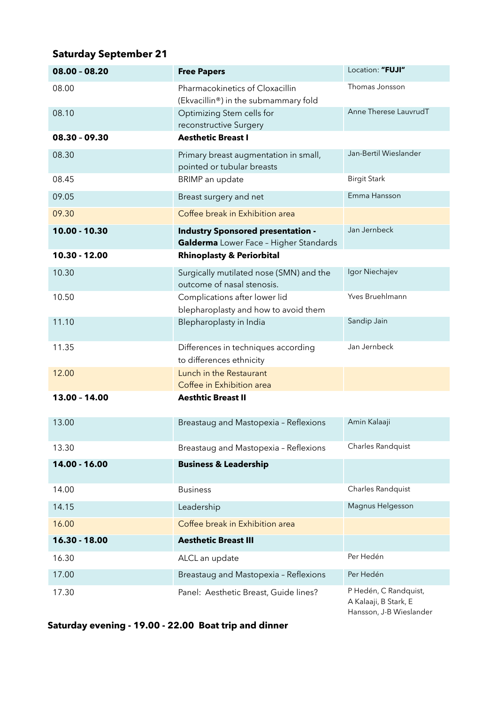## **Saturday September 21**

| 08.00 - 08.20   | <b>Free Papers</b>                                                                 | Location: "FUJI"                                                          |
|-----------------|------------------------------------------------------------------------------------|---------------------------------------------------------------------------|
| 08.00           | Pharmacokinetics of Cloxacillin<br>(Ekvacillin®) in the submammary fold            | Thomas Jonsson                                                            |
| 08.10           | Optimizing Stem cells for<br>reconstructive Surgery                                | Anne Therese LauvrudT                                                     |
| $08.30 - 09.30$ | <b>Aesthetic Breast I</b>                                                          |                                                                           |
| 08.30           | Primary breast augmentation in small,<br>pointed or tubular breasts                | Jan-Bertil Wieslander                                                     |
| 08.45           | BRIMP an update                                                                    | <b>Birgit Stark</b>                                                       |
| 09.05           | Breast surgery and net                                                             | Emma Hansson                                                              |
| 09.30           | Coffee break in Exhibition area                                                    |                                                                           |
| $10.00 - 10.30$ | <b>Industry Sponsored presentation -</b><br>Galderma Lower Face - Higher Standards | Jan Jernbeck                                                              |
| 10.30 - 12.00   | <b>Rhinoplasty &amp; Periorbital</b>                                               |                                                                           |
| 10.30           | Surgically mutilated nose (SMN) and the<br>outcome of nasal stenosis.              | Igor Niechajev                                                            |
| 10.50           | Complications after lower lid<br>blepharoplasty and how to avoid them              | Yves Bruehlmann                                                           |
| 11.10           | Blepharoplasty in India                                                            | Sandip Jain                                                               |
| 11.35           | Differences in techniques according<br>to differences ethnicity                    | Jan Jernbeck                                                              |
| 12.00           | Lunch in the Restaurant<br>Coffee in Exhibition area                               |                                                                           |
| 13.00 - 14.00   | <b>Aesthtic Breast II</b>                                                          |                                                                           |
| 13.00           | Breastaug and Mastopexia - Reflexions                                              | Amin Kalaaji                                                              |
| 13.30           | Breastaug and Mastopexia - Reflexions                                              | Charles Randquist                                                         |
| 14.00 - 16.00   | <b>Business &amp; Leadership</b>                                                   |                                                                           |
| 14.00           | <b>Business</b>                                                                    | Charles Randquist                                                         |
| 14.15           | Leadership                                                                         | Magnus Helgesson                                                          |
| 16.00           | Coffee break in Exhibition area                                                    |                                                                           |
| 16.30 - 18.00   | <b>Aesthetic Breast III</b>                                                        |                                                                           |
| 16.30           | ALCL an update                                                                     | Per Hedén                                                                 |
| 17.00           | Breastaug and Mastopexia - Reflexions                                              | Per Hedén                                                                 |
| 17.30           | Panel: Aesthetic Breast, Guide lines?                                              | P Hedén, C Randquist,<br>A Kalaaji, B Stark, E<br>Hansson, J-B Wieslander |

**Saturday evening - 19.00 - 22.00 Boat trip and dinner**